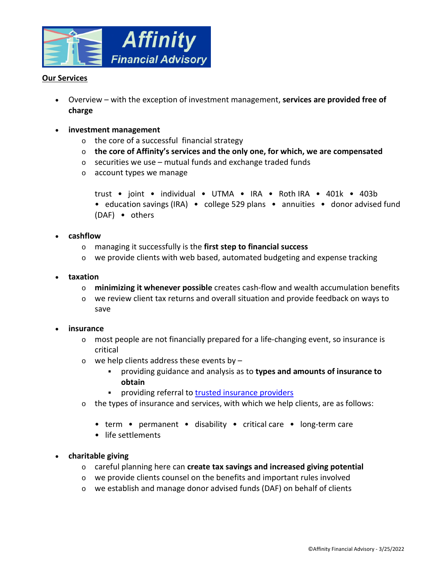

# **Our Services**

- Overview with the exception of investment management, **services are provided free of charge**
- **investment management**
	- o the core of a successful financial strategy
	- o **the core of Affinity's services and the only one, for which, we are compensated**
	- $\circ$  securities we use mutual funds and exchange traded funds
	- o account types we manage

```
trust • joint • individual • UTMA • IRA • Roth IRA • 401k • 403b 
• education savings (IRA) • college 529 plans • annuities • donor advised fund
(DAF) • others
```
- **cashflow**
	- o managing it successfully is the **first step to financial success**
	- $\circ$  we provide clients with web based, automated budgeting and expense tracking
- **taxation**
	- o **minimizing it whenever possible** creates cash-flow and wealth accumulation benefits
	- o we review client tax returns and overall situation and provide feedback on ways to save

#### **insurance**

- $\circ$  most people are not financially prepared for a life-changing event, so insurance is critical
- $\circ$  we help clients address these events by  $$ 
	- providing guidance and analysis as to **types and amounts of insurance to obtain**
	- **•** providing referral to trusted insurance providers
- o the types of insurance and services, with which we help clients, are as follows:
	- term permanent disability critical care long-term care
	- life settlements
- **charitable giving**
	- o careful planning here can **create tax savings and increased giving potential**
	- o we provide clients counsel on the benefits and important rules involved
	- o we establish and manage donor advised funds (DAF) on behalf of clients